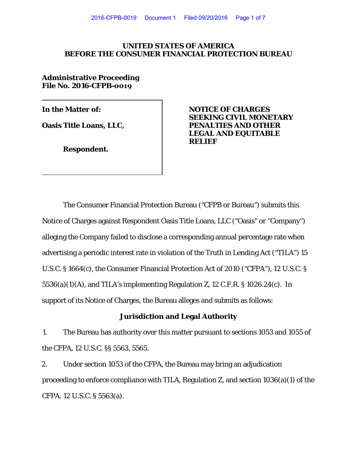### **UNITED STATES OF AMERICA BEFORE THE CONSUMER FINANCIAL PROTECTION BUREAU**

**Administrative Proceeding File No. 2016-CFPB-0019**

**Respondent.** 

**In the Matter of: NOTICE OF CHARGES SEEKING CIVIL MONETARY Oasis Title Loans, LLC,**  PENALTIES AND OTHER **LEGAL AND EQUITABLE RELIEF**

The Consumer Financial Protection Bureau ("CFPB or Bureau") submits this Notice of Charges against Respondent Oasis Title Loans, LLC ("Oasis" or "Company") alleging the Company failed to disclose a corresponding annual percentage rate when advertising a periodic interest rate in violation of the Truth in Lending Act ("TILA") 15 U.S.C. § 1664(c), the Consumer Financial Protection Act of 2010 ("CFPA"), 12 U.S.C. § 5536(a)(1)(A), and TILA's implementing Regulation Z, 12 C.F.R. § 1026.24(c). In support of its Notice of Charges, the Bureau alleges and submits as follows:

## **Jurisdiction and Legal Authority**

1. The Bureau has authority over this matter pursuant to sections 1053 and 1055 of the CFPA, 12 U.S.C. §§ 5563, 5565.

2. Under section 1053 of the CFPA, the Bureau may bring an adjudication proceeding to enforce compliance with TILA, Regulation Z, and section 1036(a)(1) of the CFPA. 12 U.S.C. § 5563(a).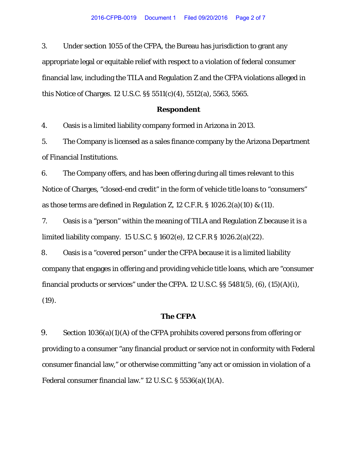3. Under section 1055 of the CFPA, the Bureau has jurisdiction to grant any appropriate legal or equitable relief with respect to a violation of federal consumer financial law, including the TILA and Regulation Z and the CFPA violations alleged in this Notice of Charges. 12 U.S.C. §§ 5511(c)(4), 5512(a), 5563, 5565.

#### **Respondent**

4. Oasis is a limited liability company formed in Arizona in 2013.

5. The Company is licensed as a sales finance company by the Arizona Department of Financial Institutions.

6. The Company offers, and has been offering during all times relevant to this Notice of Charges, "closed-end credit" in the form of vehicle title loans to "consumers" as those terms are defined in Regulation Z, 12 C.F.R.  $\S$  1026.2(a)(10) & (11).

7. Oasis is a "person" within the meaning of TILA and Regulation Z because it is a limited liability company. 15 U.S.C. § 1602(e), 12 C.F.R § 1026.2(a)(22).

8. Oasis is a "covered person" under the CFPA because it is a limited liability company that engages in offering and providing vehicle title loans, which are "consumer financial products or services" under the CFPA. 12 U.S.C.  $\S$ § 5481(5), (6), (15)(A)(i), (19).

#### **The CFPA**

9. Section 1036(a)(1)(A) of the CFPA prohibits covered persons from offering or providing to a consumer "any financial product or service not in conformity with Federal consumer financial law," or otherwise committing "any act or omission in violation of a Federal consumer financial law." 12 U.S.C. § 5536(a)(1)(A).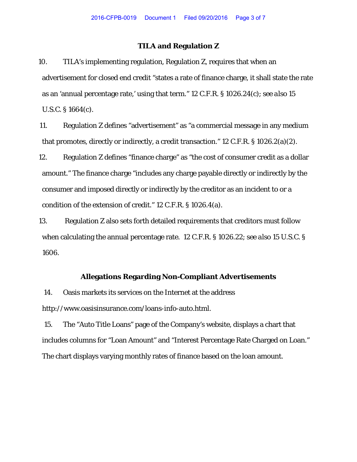### **TILA and Regulation Z**

10. TILA's implementing regulation, Regulation Z, requires that when an advertisement for closed end credit "states a rate of finance charge, it shall state the rate as an 'annual percentage rate,' using that term." 12 C.F.R. § 1026.24(c); *see also* 15 U.S.C. § 1664(c).

11. Regulation Z defines "advertisement" as "a commercial message in any medium that promotes, directly or indirectly, a credit transaction." 12 C.F.R. § 1026.2(a)(2).

12. Regulation Z defines "finance charge" as "the cost of consumer credit as a dollar amount." The finance charge "includes any charge payable directly or indirectly by the consumer and imposed directly or indirectly by the creditor as an incident to or a condition of the extension of credit." 12 C.F.R. § 1026.4(a).

13. Regulation Z also sets forth detailed requirements that creditors must follow when calculating the annual percentage rate. 12 C.F.R. § 1026.22; *see also* 15 U.S.C. § 1606.

#### **Allegations Regarding Non-Compliant Advertisements**

14. Oasis markets its services on the Internet at the address http://www.oasisinsurance.com/loans-info-auto.html.

15. The "Auto Title Loans" page of the Company's website, displays a chart that includes columns for "Loan Amount" and "Interest Percentage Rate Charged on Loan." The chart displays varying monthly rates of finance based on the loan amount.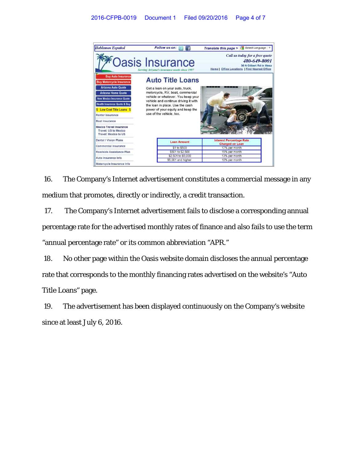

16. The Company's Internet advertisement constitutes a commercial message in any medium that promotes, directly or indirectly, a credit transaction.

17. The Company's Internet advertisement fails to disclose a corresponding annual percentage rate for the advertised monthly rates of finance and also fails to use the term "annual percentage rate" or its common abbreviation "APR."

18. No other page within the Oasis website domain discloses the annual percentage rate that corresponds to the monthly financing rates advertised on the website's "Auto Title Loans" page.

19. The advertisement has been displayed continuously on the Company's website since at least July 6, 2016.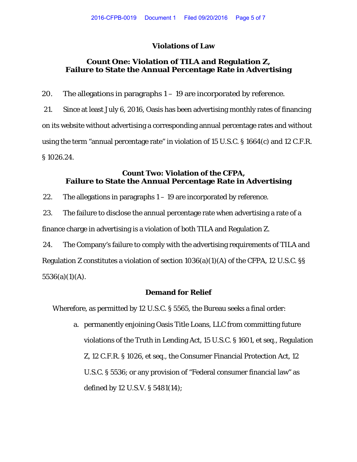### **Violations of Law**

# **Count One: Violation of TILA and Regulation Z, Failure to State the Annual Percentage Rate in Advertising**

20. The allegations in paragraphs  $1 - 19$  are incorporated by reference.

21. Since at least July 6, 2016, Oasis has been advertising monthly rates of financing on its website without advertising a corresponding annual percentage rates and without using the term "annual percentage rate" in violation of 15 U.S.C. § 1664(c) and 12 C.F.R. § 1026.24.

# **Count Two: Violation of the CFPA, Failure to State the Annual Percentage Rate in Advertising**

22. The allegations in paragraphs  $1 - 19$  are incorporated by reference.

23. The failure to disclose the annual percentage rate when advertising a rate of a finance charge in advertising is a violation of both TILA and Regulation Z.

24. The Company's failure to comply with the advertising requirements of TILA and Regulation Z constitutes a violation of section 1036(a)(1)(A) of the CFPA, 12 U.S.C. §§  $5536(a)(1)(A)$ .

# **Demand for Relief**

Wherefore, as permitted by 12 U.S.C. § 5565, the Bureau seeks a final order:

a. permanently enjoining Oasis Title Loans, LLC from committing future violations of the Truth in Lending Act, 15 U.S.C. § 1601, et seq., Regulation Z, 12 C.F.R. § 1026, et seq., the Consumer Financial Protection Act, 12 U.S.C. § 5536; or any provision of "Federal consumer financial law" as defined by 12 U.S.V. § 5481(14);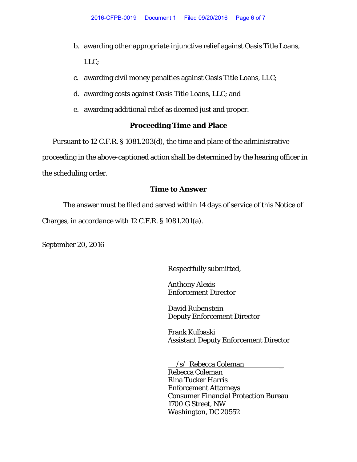- b. awarding other appropriate injunctive relief against Oasis Title Loans, LLC;
- c. awarding civil money penalties against Oasis Title Loans, LLC;
- d. awarding costs against Oasis Title Loans, LLC; and
- e. awarding additional relief as deemed just and proper.

## **Proceeding Time and Place**

Pursuant to 12 C.F.R. § 1081.203(d), the time and place of the administrative proceeding in the above-captioned action shall be determined by the hearing officer in the scheduling order.

# **Time to Answer**

The answer must be filed and served within 14 days of service of this Notice of Charges, in accordance with 12 C.F.R. § 1081.201(a).

September 20, 2016

Respectfully submitted,

Anthony Alexis Enforcement Director

David Rubenstein Deputy Enforcement Director

Frank Kulbaski Assistant Deputy Enforcement Director

 /s/ Rebecca Coleman \_ Rebecca Coleman Rina Tucker Harris Enforcement Attorneys Consumer Financial Protection Bureau 1700 G Street, NW Washington, DC 20552